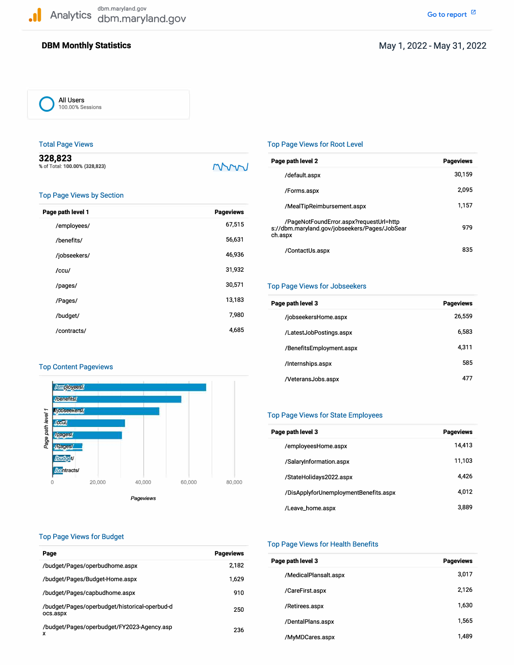## **DBM Monthly Statistics**

## May 1, 2022-May 31, 2022

**0** All Users 100.00% Sessions

#### Total Page Views

| 328,823                       |  |
|-------------------------------|--|
| % of Total: 100.00% (328,823) |  |

mm

#### Top Page Views by Section

| Page path level 1 | <b>Pageviews</b> |
|-------------------|------------------|
| /employees/       | 67,515           |
| /benefits/        | 56,631           |
| /jobseekers/      | 46,936           |
| /ccu/             | 31,932           |
| /pages/           | 30,571           |
| /Pages/           | 13,183           |
| /budget/          | 7,980            |
| /contracts/       | 4,685            |

### Top Content Pageviews



### Top Page Views for Root Level

| Page path level 2                                                                                   | <b>Pageviews</b> |
|-----------------------------------------------------------------------------------------------------|------------------|
| /default.aspx                                                                                       | 30.159           |
| /Forms.aspx                                                                                         | 2.095            |
| /MealTipReimbursement.aspx                                                                          | 1.157            |
| /PageNotFoundError.aspx?requestUrl=http<br>s://dbm.maryland.gov/jobseekers/Pages/JobSear<br>ch.aspx | 979              |
| /ContactUs.aspx                                                                                     | 835              |

#### Top Page Views for Jobseekers

| Page path level 3        | <b>Pageviews</b> |
|--------------------------|------------------|
| /jobseekersHome.aspx     | 26,559           |
| /LatestJobPostings.aspx  | 6,583            |
| /BenefitsEmployment.aspx | 4.311            |
| /Internships.aspx        | 585              |
| /VeteransJobs.aspx       |                  |

### Top Page Views for State Employees

| Page path level 3                     | <b>Pageviews</b> |
|---------------------------------------|------------------|
| /employeesHome.aspx                   | 14.413           |
| /SalaryInformation.aspx               | 11,103           |
| /StateHolidays2022.aspx               | 4,426            |
| /DisApplyforUnemploymentBenefits.aspx | 4.012            |
| /Leave_home.aspx                      | 3.889            |

#### Top Page Views for Budget

| Page                                                      | <b>Pageviews</b> |
|-----------------------------------------------------------|------------------|
| /budget/Pages/operbudhome.aspx                            | 2.182            |
| /budget/Pages/Budget-Home.aspx                            | 1.629            |
| /budget/Pages/capbudhome.aspx                             | 910              |
| /budget/Pages/operbudget/historical-operbud-d<br>ocs.aspx | 250              |
| /budget/Pages/operbudget/FY2023-Agency.asp<br>x           | 236              |

#### Top Page Views for Health Benefits

| Page path level 3     | <b>Pageviews</b> |
|-----------------------|------------------|
| /MedicalPlansalt.aspx | 3,017            |
| /CareFirst.aspx       | 2,126            |
| /Retirees.aspx        | 1,630            |
| /DentalPlans.aspx     | 1,565            |
| /MyMDCares.aspx       | 1.489            |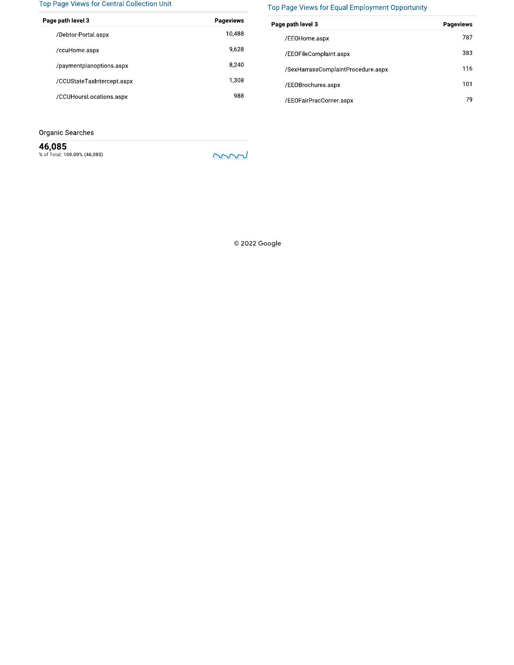#### Top Page Views for Central Collection Unit

| . .                        |                  |
|----------------------------|------------------|
| Page path level 3          | <b>Pageviews</b> |
| /Debtor Portal.aspx        | 10,488           |
| /ccuHome.aspx              | 9,628            |
| /paymentplanoptions.aspx   | 8.240            |
| /CCUStateTaxIntercept.aspx | 1.308            |
| /CCUHoursLocations.aspx    | 988              |
|                            |                  |

Organic Searches

46,085<br>% of Total: 100.00% (46,085)

mm

## Top Page Views for Equal Employment Opportunity

| Page path level 3                  | <b>Pageviews</b> |
|------------------------------------|------------------|
| /EEOHome.aspx                      | 787              |
| /EEOFileComplaint.aspx             | 383              |
| /SexHarrassComplaintProcedure.aspx | 116              |
| /EEOBrochures.aspx                 | 101              |
| /EEOFairPracCorner.aspx            | 79               |

© 2022 Google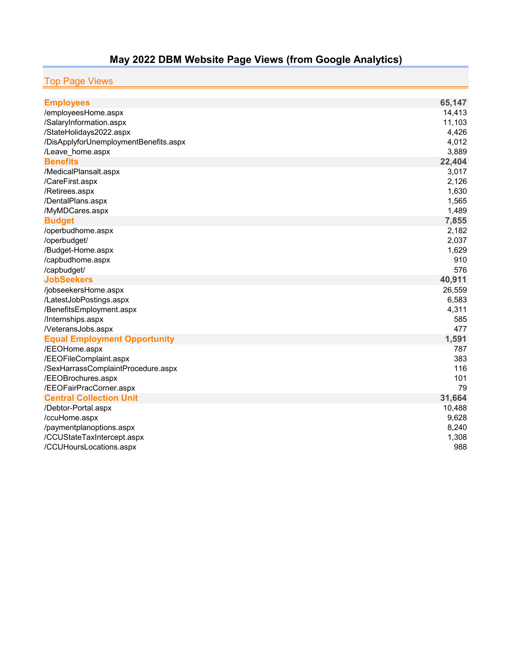# **May 2022 DBM Website Page Views (from Google Analytics)**

# Top Page Views

| <b>Employees</b>                                         | 65,147     |
|----------------------------------------------------------|------------|
| /employeesHome.aspx                                      | 14,413     |
| /SalaryInformation.aspx                                  | 11,103     |
| /StateHolidays2022.aspx                                  | 4,426      |
| /DisApplyforUnemploymentBenefits.aspx                    | 4,012      |
| /Leave_home.aspx                                         | 3,889      |
| <b>Benefits</b>                                          | 22,404     |
| /MedicalPlansalt.aspx                                    | 3,017      |
| /CareFirst.aspx                                          | 2,126      |
| /Retirees.aspx                                           | 1,630      |
| /DentalPlans.aspx                                        | 1,565      |
| /MyMDCares.aspx                                          | 1,489      |
| <b>Budget</b>                                            | 7,855      |
| /operbudhome.aspx                                        | 2,182      |
| /operbudget/                                             | 2,037      |
| /Budget-Home.aspx                                        | 1,629      |
| /capbudhome.aspx                                         | 910        |
| /capbudget/                                              | 576        |
| <b>JobSeekers</b>                                        | 40,911     |
| /jobseekersHome.aspx                                     | 26,559     |
| /LatestJobPostings.aspx                                  | 6,583      |
| /BenefitsEmployment.aspx                                 | 4,311      |
| /Internships.aspx                                        | 585        |
| /VeteransJobs.aspx                                       | 477        |
| <b>Equal Employment Opportunity</b>                      | 1,591      |
| /EEOHome.aspx                                            | 787        |
| /EEOFileComplaint.aspx                                   | 383        |
| /SexHarrassComplaintProcedure.aspx<br>/EEOBrochures.aspx | 116<br>101 |
| /EEOFairPracCorner.aspx                                  | 79         |
| <b>Central Collection Unit</b>                           | 31,664     |
| /Debtor-Portal.aspx                                      | 10,488     |
| /ccuHome.aspx                                            | 9,628      |
| /paymentplanoptions.aspx                                 | 8,240      |
| /CCUStateTaxIntercept.aspx                               | 1,308      |
| /CCUHoursLocations.aspx                                  | 988        |
|                                                          |            |